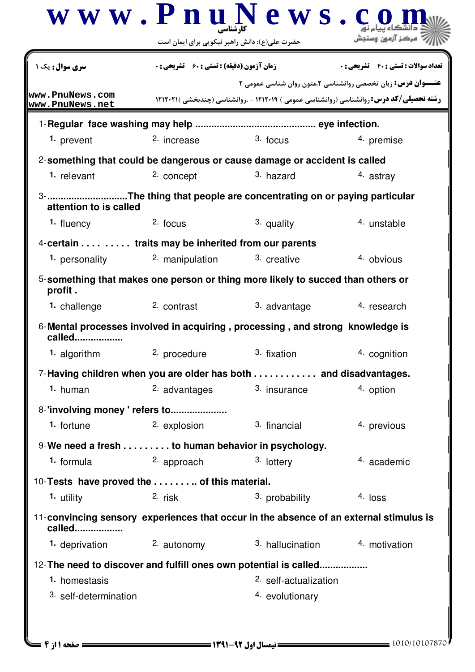|                                                                                                  | حضرت علی(ع): دانش راهبر نیکویی برای ایمان است      | www.PnuNews.c                                                                   | مركز آزمون وسندش                                                                                                                                                       |
|--------------------------------------------------------------------------------------------------|----------------------------------------------------|---------------------------------------------------------------------------------|------------------------------------------------------------------------------------------------------------------------------------------------------------------------|
| <b>سری سوال :</b> یک ۱                                                                           | <b>زمان آزمون (دقیقه) : تستی : 60 ٪ تشریحی : 0</b> |                                                                                 | <b>تعداد سوالات : تستي : 40 ٪ تشريحي : 0</b>                                                                                                                           |
| www.PnuNews.com<br>www.PnuNews.net                                                               |                                                    |                                                                                 | <b>عنـــوان درس:</b> زبان تخصصی روانشناسی ۲،متون روان شناسی عمومی ۲<br><b>رشته تحصیلی/کد درس: روانشناسی (روانشناسی عمومی ) ۱۲۱۲۰۱۹ - ،روانشناسی (چندبخشی )۲۱۲۰۲۱ ا</b> |
|                                                                                                  |                                                    |                                                                                 |                                                                                                                                                                        |
| 1. prevent                                                                                       | <sup>2.</sup> increase                             | $3.$ focus                                                                      | 4. premise                                                                                                                                                             |
|                                                                                                  |                                                    | 2-something that could be dangerous or cause damage or accident is called       |                                                                                                                                                                        |
| 1. relevant                                                                                      | 2. concept                                         | 3. hazard                                                                       | 4. astrav                                                                                                                                                              |
| attention to is called                                                                           |                                                    | 3- The thing that people are concentrating on or paying particular              |                                                                                                                                                                        |
| 1. fluency                                                                                       | 2. focus                                           | 3. quality                                                                      | 4. unstable                                                                                                                                                            |
| 4-certain traits may be inherited from our parents                                               |                                                    |                                                                                 |                                                                                                                                                                        |
| 1. personality                                                                                   | 2. manipulation                                    | 3. creative                                                                     | 4 obvious                                                                                                                                                              |
| profit.                                                                                          |                                                    | 5-something that makes one person or thing more likely to succed than others or |                                                                                                                                                                        |
| 1. challenge                                                                                     | 2. contrast                                        | 3. advantage                                                                    | 4. research                                                                                                                                                            |
| called                                                                                           |                                                    | 6-Mental processes involved in acquiring, processing, and strong knowledge is   |                                                                                                                                                                        |
| 1. algorithm                                                                                     | 2. procedure                                       | 3. fixation                                                                     | 4. cognition                                                                                                                                                           |
|                                                                                                  |                                                    | 7-Having children when you are older has both  and disadvantages.               |                                                                                                                                                                        |
| 1. human                                                                                         | 2. advantages                                      | 3. insurance                                                                    | 4. option                                                                                                                                                              |
| 8-'involving money' refers to                                                                    |                                                    |                                                                                 |                                                                                                                                                                        |
| 1. fortune                                                                                       | 2. explosion                                       | 3. financial                                                                    | 4. previous                                                                                                                                                            |
| 9-We need a fresh to human behavior in psychology.                                               |                                                    |                                                                                 |                                                                                                                                                                        |
| 1. formula                                                                                       | 2. approach                                        | 3. lottery                                                                      | 4 academic                                                                                                                                                             |
| 10-Tests have proved the  of this material.                                                      |                                                    |                                                                                 |                                                                                                                                                                        |
| 1. utility                                                                                       | 2. risk                                            | 3. probability                                                                  | 4. loss                                                                                                                                                                |
| 11-convincing sensory experiences that occur in the absence of an external stimulus is<br>called |                                                    |                                                                                 |                                                                                                                                                                        |
|                                                                                                  | 1. deprivation 2. autonomy                         |                                                                                 | 3. hallucination 4. motivation                                                                                                                                         |
| 12- The need to discover and fulfill ones own potential is called                                |                                                    |                                                                                 |                                                                                                                                                                        |
| 1. homestasis                                                                                    |                                                    | 2. self-actualization                                                           |                                                                                                                                                                        |
| 3. self-determination                                                                            |                                                    | 4. evolutionary                                                                 |                                                                                                                                                                        |
|                                                                                                  |                                                    |                                                                                 |                                                                                                                                                                        |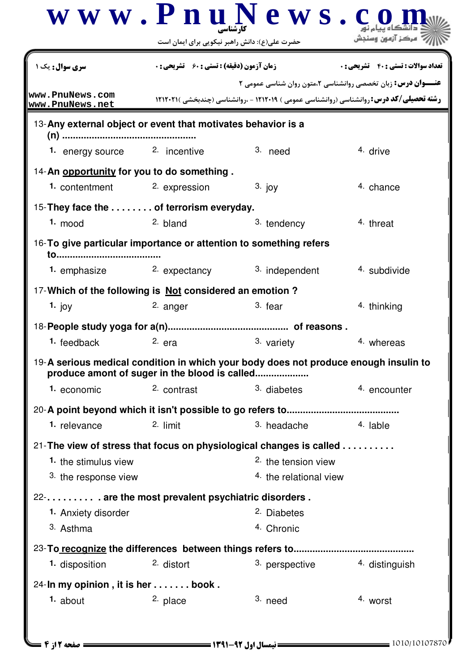|                                                                                                                                        |                                                                   | www.PnuNews.c                        |                                                                                                                                                                        |  |  |
|----------------------------------------------------------------------------------------------------------------------------------------|-------------------------------------------------------------------|--------------------------------------|------------------------------------------------------------------------------------------------------------------------------------------------------------------------|--|--|
|                                                                                                                                        | حضرت علی(ع): دانش راهبر نیکویی برای ایمان است                     |                                      |                                                                                                                                                                        |  |  |
| <b>سری سوال:</b> یک ۱                                                                                                                  | <b>زمان آزمون (دقیقه) : تستی : 60 ٪ تشریحی : 0</b>                |                                      | <b>تعداد سوالات : تستی : ۴۰ ٪ تشریحی : 0</b>                                                                                                                           |  |  |
| www.PnuNews.com<br>www.PnuNews.net                                                                                                     |                                                                   |                                      | <b>عنـــوان درس:</b> زبان تخصصی روانشناسی ۲،متون روان شناسی عمومی ۲<br><b>رشته تحصیلی/کد درس: روانشناسی (روانشناسی عمومی ) ۱۲۱۲۰۱۹ - ،روانشناسی (چندبخشی )۲۱۲۰۲۱ ا</b> |  |  |
| 13-Any external object or event that motivates behavior is a                                                                           |                                                                   |                                      |                                                                                                                                                                        |  |  |
| 1. energy source 2. incentive                                                                                                          |                                                                   | 3. need                              | 4. drive                                                                                                                                                               |  |  |
| 14-An opportunity for you to do something.<br>1. contentment                                                                           | 2. expression                                                     | $3.$ joy                             | 4. chance                                                                                                                                                              |  |  |
| 15-They face the  of terrorism everyday.                                                                                               |                                                                   |                                      |                                                                                                                                                                        |  |  |
| $1. \text{mod}$                                                                                                                        | 2. bland                                                          | 3. tendency                          | 4. threat                                                                                                                                                              |  |  |
| to                                                                                                                                     | 16-To give particular importance or attention to something refers |                                      |                                                                                                                                                                        |  |  |
| 1. emphasize                                                                                                                           | <sup>2.</sup> expectancy                                          | 3. independent                       | 4. subdivide                                                                                                                                                           |  |  |
| 17-Which of the following is Not considered an emotion?                                                                                |                                                                   |                                      |                                                                                                                                                                        |  |  |
| 1. joy                                                                                                                                 | 2. anger                                                          | $3.$ fear                            | 4. thinking                                                                                                                                                            |  |  |
|                                                                                                                                        |                                                                   |                                      |                                                                                                                                                                        |  |  |
| 1. feedback                                                                                                                            | $2.$ era                                                          | 3. variety                           | 4. whereas                                                                                                                                                             |  |  |
| 19-A serious medical condition in which your body does not produce enough insulin to<br>produce amont of suger in the blood is called. |                                                                   |                                      |                                                                                                                                                                        |  |  |
| 1. economic                                                                                                                            | 2. contrast                                                       | 3. diabetes                          | 4. encounter                                                                                                                                                           |  |  |
|                                                                                                                                        |                                                                   |                                      |                                                                                                                                                                        |  |  |
| 1. relevance                                                                                                                           | 2. limit                                                          | 3. headache                          | 4. lable                                                                                                                                                               |  |  |
| 21-The view of stress that focus on physiological changes is called                                                                    |                                                                   |                                      |                                                                                                                                                                        |  |  |
| 1. the stimulus view                                                                                                                   |                                                                   | 2. the tension view                  |                                                                                                                                                                        |  |  |
| 3. the response view                                                                                                                   |                                                                   | 4. the relational view               |                                                                                                                                                                        |  |  |
| 22- . are the most prevalent psychiatric disorders.                                                                                    |                                                                   |                                      |                                                                                                                                                                        |  |  |
| 1. Anxiety disorder<br>3. Asthma                                                                                                       |                                                                   | <sup>2.</sup> Diabetes<br>4. Chronic |                                                                                                                                                                        |  |  |
|                                                                                                                                        |                                                                   |                                      |                                                                                                                                                                        |  |  |
| 1. disposition                                                                                                                         | 2. distort                                                        | 3. perspective                       | 4. distinguish                                                                                                                                                         |  |  |
|                                                                                                                                        |                                                                   |                                      |                                                                                                                                                                        |  |  |
| 24-In my opinion, it is her  book.<br>$1.$ about                                                                                       | <sup>2.</sup> place                                               | 3. need                              | 4. worst                                                                                                                                                               |  |  |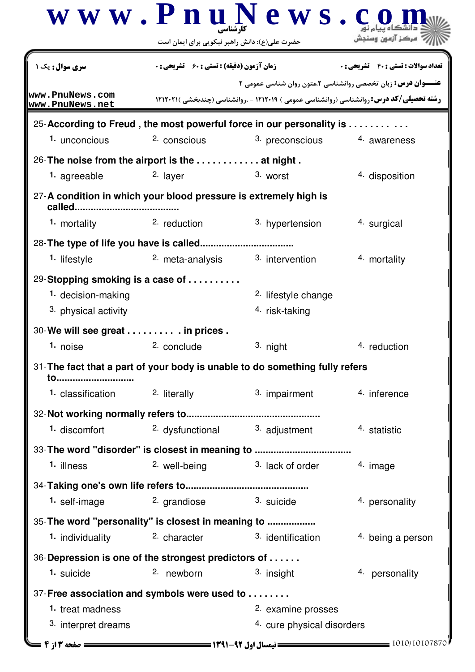|                                                                                                                                                                     |                                                                                                     | $\bf w \mathbf w \mathbf w \mathbf P \mathbf n \mathbf u \mathbf N \mathbf e \mathbf w \mathbf s$ . | مركز آزمون وسنجش                                                                                                                                                      |
|---------------------------------------------------------------------------------------------------------------------------------------------------------------------|-----------------------------------------------------------------------------------------------------|-----------------------------------------------------------------------------------------------------|-----------------------------------------------------------------------------------------------------------------------------------------------------------------------|
| <b>سری سوال :</b> یک ۱                                                                                                                                              | حضرت علی(ع): دانش راهبر نیکویی برای ایمان است<br><b>زمان آزمون (دقیقه) : تستی : 60 ٪ تشریحی : 0</b> |                                                                                                     | <b>تعداد سوالات : تستی : 40 - تشریحی : 0</b>                                                                                                                          |
| www.PnuNews.com<br>www.PnuNews.net                                                                                                                                  |                                                                                                     |                                                                                                     | <b>عنـــوان درس:</b> زبان تخصصی روانشناسی ۲،متون روان شناسی عمومی ۲<br><b>رشته تحصیلی/کد درس: روانشناسی (روانشناسی عمومی ) ۱۲۱۲۰۱۹ - ،روانشناسی (چندبخشی )۲۱۲۰۲۱ </b> |
| 25-According to Freud, the most powerful force in our personality is<br>1. unconcious                                                                               | 2. conscious                                                                                        | 3. preconscious                                                                                     | 4. awareness                                                                                                                                                          |
| 26-The noise from the airport is the $\ldots \ldots \ldots$ at night.<br><sup>1</sup> agreeable<br>27-A condition in which your blood pressure is extremely high is | 2. layer                                                                                            | 3. worst                                                                                            | 4. disposition                                                                                                                                                        |
| called<br>1. mortality                                                                                                                                              | <sup>2</sup> reduction                                                                              | 3. hypertension                                                                                     | 4. surgical                                                                                                                                                           |
| <sup>1.</sup> lifestyle<br>29-Stopping smoking is a case of<br>1. decision-making                                                                                   | 2. meta-analysis                                                                                    | 3. intervention<br><sup>2.</sup> lifestyle change                                                   | 4. mortality                                                                                                                                                          |
| 3. physical activity<br>30-We will see great in prices .<br>1. noise                                                                                                | 2. conclude                                                                                         | 4. risk-taking<br>3. night                                                                          | 4. reduction                                                                                                                                                          |
| 31- The fact that a part of your body is unable to do something fully refers<br><u>to</u>                                                                           |                                                                                                     |                                                                                                     |                                                                                                                                                                       |
| 1. classification                                                                                                                                                   | 2. literally                                                                                        | 3. impairment                                                                                       | 4. inference                                                                                                                                                          |
| 1. discomfort                                                                                                                                                       | <sup>2.</sup> dysfunctional                                                                         | 3. adjustment                                                                                       | 4. statistic                                                                                                                                                          |
| 1. illness                                                                                                                                                          | 2. well-being                                                                                       | 3. lack of order                                                                                    | 4. image                                                                                                                                                              |
| 1. self-image                                                                                                                                                       | <sup>2</sup> grandiose                                                                              | <sup>3</sup> suicide                                                                                | 4. personality                                                                                                                                                        |
| 35- The word "personality" is closest in meaning to<br>1. individuality                                                                                             | 2. character                                                                                        | 3. identification                                                                                   | 4. being a person                                                                                                                                                     |
| 36-Depression is one of the strongest predictors of<br>1. suicide                                                                                                   | 2. newborn                                                                                          | 3. insight                                                                                          | 4. personality                                                                                                                                                        |
| 37-Free association and symbols were used to<br>1. treat madness<br>3. interpret dreams                                                                             |                                                                                                     | 2. examine prosses<br>4. cure physical disorders                                                    |                                                                                                                                                                       |